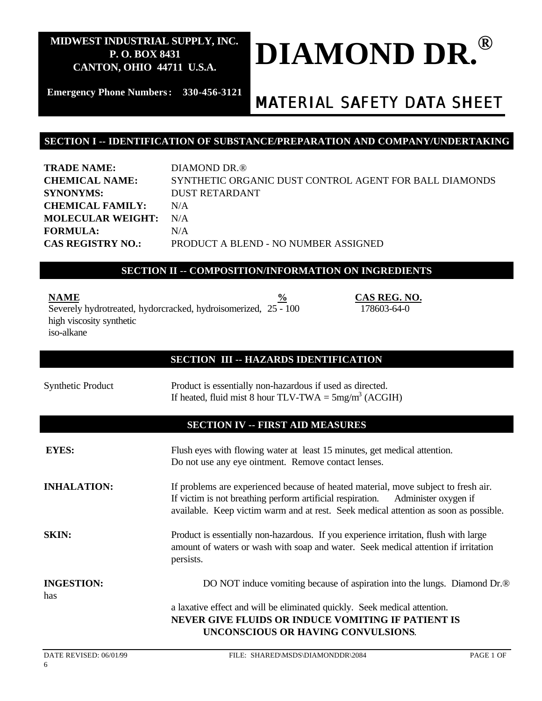# **DIAMOND DR. ®**

**Emergency Phone Numbers: 330-456-3121**

# *MATERIAL SAFETY DATA SHEET*

178603-64-0

## **SECTION I -- IDENTIFICATION OF SUBSTANCE/PREPARATION AND COMPANY/UNDERTAKING**

**TRADE NAME:** DIAMOND DR.® **CHEMICAL NAME:** SYNTHETIC ORGANIC DUST CONTROL AGENT FOR BALL DIAMONDS **SYNONYMS:** DUST RETARDANT **CHEMICAL FAMILY:** N/A **MOLECULAR WEIGHT:** N/A **FORMULA:** N/A **CAS REGISTRY NO.:** PRODUCT A BLEND - NO NUMBER ASSIGNED

### **SECTION II -- COMPOSITION/INFORMATION ON INGREDIENTS**

**NAME**  $\%$  **CAS REG. NO.** 

Severely hydrotreated, hydorcracked, hydroisomerized, 25 - 100 high viscosity synthetic iso-alkane

### **SECTION III -- HAZARDS IDENTIFICATION**

| <b>Synthetic Product</b> | Product is essentially non-hazardous if used as directed.<br>If heated, fluid mist 8 hour TLV-TWA = $5mg/m3$ (ACGIH)                                                                                                                                          |
|--------------------------|---------------------------------------------------------------------------------------------------------------------------------------------------------------------------------------------------------------------------------------------------------------|
|                          | <b>SECTION IV -- FIRST AID MEASURES</b>                                                                                                                                                                                                                       |
| <b>EYES:</b>             | Flush eyes with flowing water at least 15 minutes, get medical attention.<br>Do not use any eye ointment. Remove contact lenses.                                                                                                                              |
| <b>INHALATION:</b>       | If problems are experienced because of heated material, move subject to fresh air.<br>If victim is not breathing perform artificial respiration. Administer oxygen if<br>available. Keep victim warm and at rest. Seek medical attention as soon as possible. |
| <b>SKIN:</b>             | Product is essentially non-hazardous. If you experience irritation, flush with large<br>amount of waters or wash with soap and water. Seek medical attention if irritation<br>persists.                                                                       |
| <b>INGESTION:</b><br>has | DO NOT induce vomiting because of aspiration into the lungs. Diamond Dr. <sup>®</sup>                                                                                                                                                                         |
|                          | a laxative effect and will be eliminated quickly. Seek medical attention.<br>NEVER GIVE FLUIDS OR INDUCE VOMITING IF PATIENT IS<br>UNCONSCIOUS OR HAVING CONVULSIONS.                                                                                         |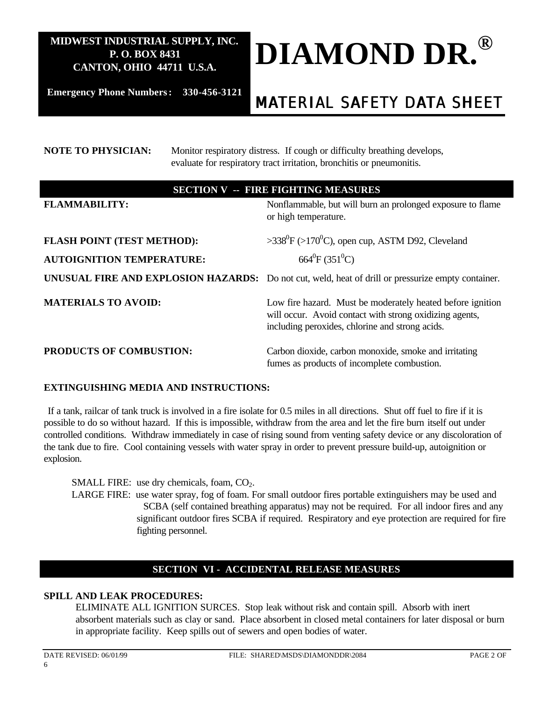

**Emergency Phone Numbers: 330-456-3121**

# *MATERIAL SAFETY DATA SHEET*

# **NOTE TO PHYSICIAN:** Monitor respiratory distress. If cough or difficulty breathing develops, evaluate for respiratory tract irritation, bronchitis or pneumonitis. **SECTION V -- FIRE FIGHTING MEASURES FLAMMABILITY:** Nonflammable, but will burn an prolonged exposure to flame or high temperature. **FLASH POINT (TEST METHOD):**  $>338^{\circ}F$  ( $>170^{\circ}C$ ), open cup, ASTM D92, Cleveland **AUTOIGNITION TEMPERATURE:** 664<sup>0</sup>  $664^0$ F (351<sup>0</sup>C) **UNUSUAL FIRE AND EXPLOSION HAZARDS:** Do not cut, weld, heat of drill or pressurize empty container. **MATERIALS TO AVOID:** Low fire hazard. Must be moderately heated before ignition will occur. Avoid contact with strong oxidizing agents, including peroxides, chlorine and strong acids. **PRODUCTS OF COMBUSTION:** Carbon dioxide, carbon monoxide, smoke and irritating fumes as products of incomplete combustion.

## **EXTINGUISHING MEDIA AND INSTRUCTIONS:**

If a tank, railcar of tank truck is involved in a fire isolate for 0.5 miles in all directions. Shut off fuel to fire if it is possible to do so without hazard. If this is impossible, withdraw from the area and let the fire burn itself out under controlled conditions. Withdraw immediately in case of rising sound from venting safety device or any discoloration of the tank due to fire. Cool containing vessels with water spray in order to prevent pressure build-up, autoignition or explosion.

SMALL FIRE: use dry chemicals, foam,  $CO<sub>2</sub>$ .

LARGE FIRE: use water spray, fog of foam. For small outdoor fires portable extinguishers may be used and SCBA (self contained breathing apparatus) may not be required. For all indoor fires and any significant outdoor fires SCBA if required. Respiratory and eye protection are required for fire fighting personnel.

## **SECTION VI - ACCIDENTAL RELEASE MEASURES**

## **SPILL AND LEAK PROCEDURES:**

ELIMINATE ALL IGNITION SURCES. Stop leak without risk and contain spill. Absorb with inert absorbent materials such as clay or sand. Place absorbent in closed metal containers for later disposal or burn in appropriate facility. Keep spills out of sewers and open bodies of water.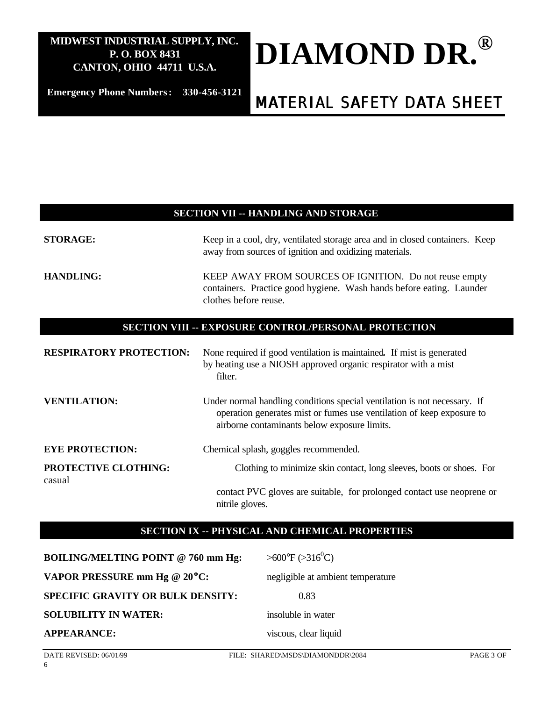# **DIAMOND DR. ®**

**Emergency Phone Numbers: 330-456-3121**

# *MATERIAL SAFETY DATA SHEET*

#### **SECTION VII -- HANDLING AND STORAGE**

| <b>STORAGE:</b>                       | Keep in a cool, dry, ventilated storage area and in closed containers. Keep<br>away from sources of ignition and oxidizing materials.                                                              |
|---------------------------------------|----------------------------------------------------------------------------------------------------------------------------------------------------------------------------------------------------|
| <b>HANDLING:</b>                      | KEEP AWAY FROM SOURCES OF IGNITION. Do not reuse empty<br>containers. Practice good hygiene. Wash hands before eating. Launder<br>clothes before reuse.                                            |
|                                       | SECTION VIII -- EXPOSURE CONTROL/PERSONAL PROTECTION                                                                                                                                               |
| <b>RESPIRATORY PROTECTION:</b>        | None required if good ventilation is maintained. If mist is generated<br>by heating use a NIOSH approved organic respirator with a mist<br>filter.                                                 |
| <b>VENTILATION:</b>                   | Under normal handling conditions special ventilation is not necessary. If<br>operation generates mist or fumes use ventilation of keep exposure to<br>airborne contaminants below exposure limits. |
| <b>EYE PROTECTION:</b>                | Chemical splash, goggles recommended.                                                                                                                                                              |
| <b>PROTECTIVE CLOTHING:</b><br>casual | Clothing to minimize skin contact, long sleeves, boots or shoes. For                                                                                                                               |
|                                       | contact PVC gloves are suitable, for prolonged contact use neoprene or<br>nitrile gloves.                                                                                                          |

## **SECTION IX -- PHYSICAL AND CHEMICAL PROPERTIES**

| <b>BOILING/MELTING POINT @ 760 mm Hg:</b> | $>600^{\circ}F$ ( $>316^{\circ}C$ ) |
|-------------------------------------------|-------------------------------------|
| VAPOR PRESSURE mm Hg @ 20°C:              | negligible at ambient temperature   |
| <b>SPECIFIC GRAVITY OR BULK DENSITY:</b>  | 0.83                                |
| <b>SOLUBILITY IN WATER:</b>               | insoluble in water                  |
| <b>APPEARANCE:</b>                        | viscous, clear liquid               |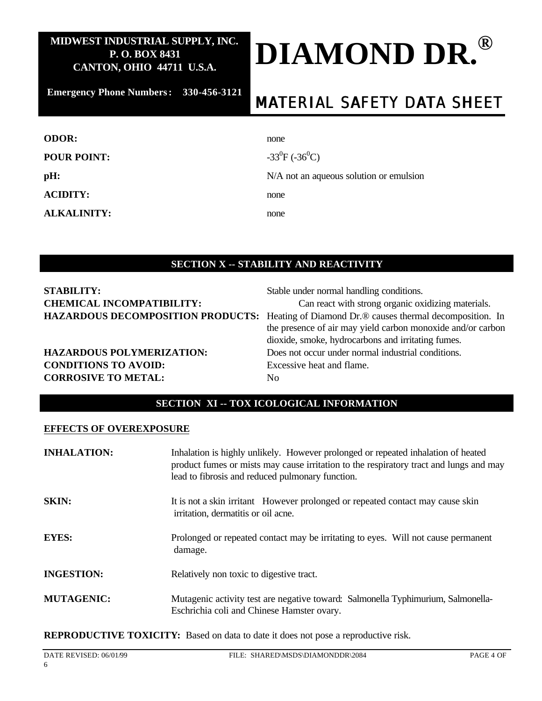# **DIAMOND DR. ®**

**Emergency Phone Numbers: 330-456-3121**

# *MATERIAL SAFETY DATA SHEET*

| <b>ODOR:</b>       | none                                    |
|--------------------|-----------------------------------------|
| <b>POUR POINT:</b> | $-33^{0}F(-36^{0}C)$                    |
| pH:                | N/A not an aqueous solution or emulsion |
| <b>ACIDITY:</b>    | none                                    |
| <b>ALKALINITY:</b> | none                                    |
|                    |                                         |

# **SECTION X -- STABILITY AND REACTIVITY**

| <b>STABILITY:</b>                        |  |
|------------------------------------------|--|
| <b>CHEMICAL INCOMPATIBILITY:</b>         |  |
| <b>HAZARDOUS DECOMPOSITION PRODUCTS:</b> |  |

# **CONDITIONS TO AVOID:** Excessive heat and flame. **CORROSIVE TO METAL:** No

Stable under normal handling conditions.

Can react with strong organic oxidizing materials. Heating of Diamond Dr.<sup>®</sup> causes thermal decomposition. In the presence of air may yield carbon monoxide and/or carbon dioxide, smoke, hydrocarbons and irritating fumes. **HAZARDOUS POLYMERIZATION:** Does not occur under normal industrial conditions.

# **SECTION XI -- TOX ICOLOGICAL INFORMATION**

#### **EFFECTS OF OVEREXPOSURE**

| <b>INHALATION:</b> | Inhalation is highly unlikely. However prolonged or repeated inhalation of heated<br>product fumes or mists may cause irritation to the respiratory tract and lungs and may<br>lead to fibrosis and reduced pulmonary function. |
|--------------------|---------------------------------------------------------------------------------------------------------------------------------------------------------------------------------------------------------------------------------|
| <b>SKIN:</b>       | It is not a skin irritant However prolonged or repeated contact may cause skin<br>irritation, dermatitis or oil acne.                                                                                                           |
| <b>EYES:</b>       | Prolonged or repeated contact may be irritating to eyes. Will not cause permanent<br>damage.                                                                                                                                    |
| <b>INGESTION:</b>  | Relatively non toxic to digestive tract.                                                                                                                                                                                        |
| <b>MUTAGENIC:</b>  | Mutagenic activity test are negative toward: Salmonella Typhimurium, Salmonella-<br>Eschrichia coli and Chinese Hamster ovary.                                                                                                  |

**REPRODUCTIVE TOXICITY:** Based on data to date it does not pose a reproductive risk.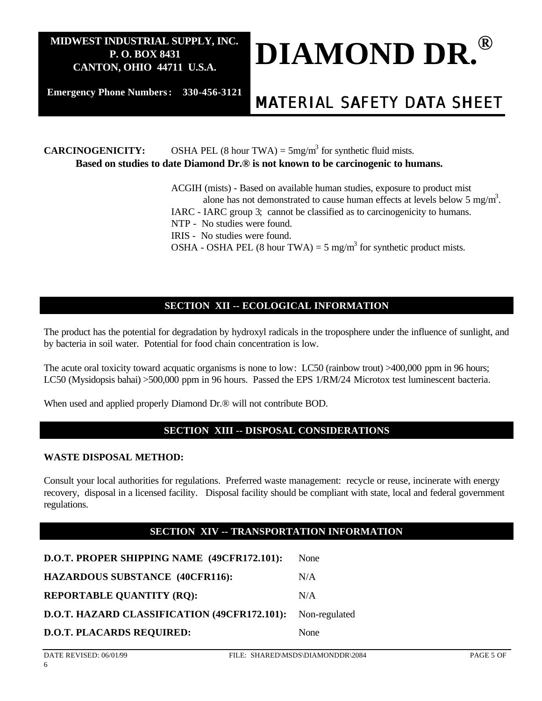

**Emergency Phone Numbers: 330-456-3121**

# *MATERIAL SAFETY DATA SHEET*

**CARCINOGENICITY:** OSHA PEL (8 hour TWA) =  $5mg/m<sup>3</sup>$  for synthetic fluid mists. **Based on studies to date Diamond Dr.® is not known to be carcinogenic to humans.**

> ACGIH (mists) - Based on available human studies, exposure to product mist alone has not demonstrated to cause human effects at levels below 5 mg/m<sup>3</sup>. IARC - IARC group 3; cannot be classified as to carcinogenicity to humans. NTP - No studies were found. IRIS - No studies were found. OSHA - OSHA PEL (8 hour TWA) = 5 mg/m<sup>3</sup> for synthetic product mists.

## **SECTION XII -- ECOLOGICAL INFORMATION**

The product has the potential for degradation by hydroxyl radicals in the troposphere under the influence of sunlight, and by bacteria in soil water. Potential for food chain concentration is low.

The acute oral toxicity toward acquatic organisms is none to low: LC50 (rainbow trout) >400,000 ppm in 96 hours; LC50 (Mysidopsis bahai) >500,000 ppm in 96 hours. Passed the EPS 1/RM/24 Microtox test luminescent bacteria.

When used and applied properly Diamond Dr.® will not contribute BOD.

## **SECTION XIII -- DISPOSAL CONSIDERATIONS**

#### **WASTE DISPOSAL METHOD:**

Consult your local authorities for regulations. Preferred waste management: recycle or reuse, incinerate with energy recovery, disposal in a licensed facility. Disposal facility should be compliant with state, local and federal government regulations.

## **SECTION XIV -- TRANSPORTATION INFORMATION**

| D.O.T. PROPER SHIPPING NAME (49CFR172.101):                | None |
|------------------------------------------------------------|------|
| <b>HAZARDOUS SUBSTANCE (40CFR116):</b>                     | N/A  |
| <b>REPORTABLE QUANTITY (RQ):</b>                           | N/A  |
| D.O.T. HAZARD CLASSIFICATION (49CFR172.101): Non-regulated |      |
| <b>D.O.T. PLACARDS REQUIRED:</b>                           | None |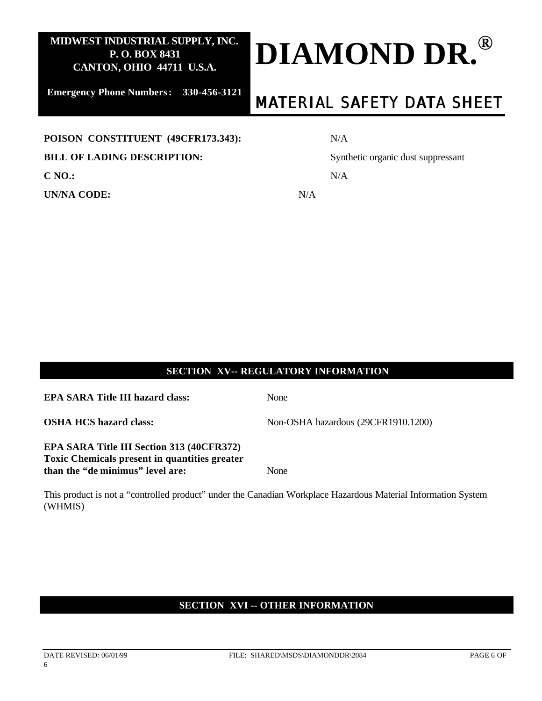

**Emergency Phone Numbers: 330-456-3121**

# *MATERIAL SAFETY DATA SHEET*

#### POISON CONSTITUENT (49CFR173.343):

#### **BILL OF LADING DESCRIPTION:** Synthetic organic dust suppressant

**C NO.:** N/A

**UN/NA CODE:** N/A

|--|

## **SECTION XV-- REGULATORY INFORMATION**

**EPA SARA Title III hazard class:** None

**OSHA HCS hazard class:** Non-OSHA hazardous (29CFR1910.1200)

### **EPA SARA Title III Section 313 (40CFR372) Toxic Chemicals present in quantities greater than the "de minimus" level are:** None

This product is not a "controlled product" under the Canadian Workplace Hazardous Material Information System (WHMIS)

## **SECTION XVI -- OTHER INFORMATION**